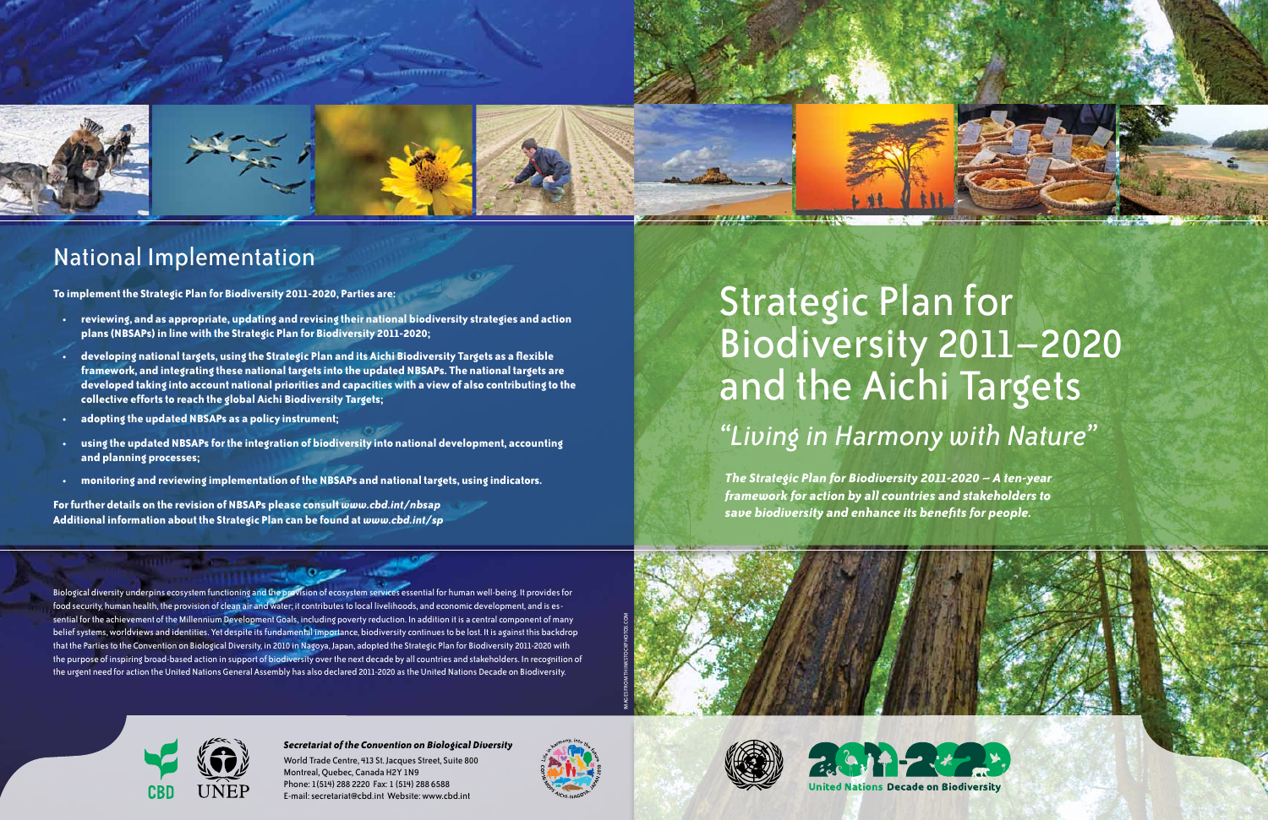# Strategic Plan for Biodiversity 2011–2020 and the Aichi Targets *"Living in Harmony with Nature"*

Biological diversity underpins ecosystem functioning and the provision of ecosystem services essential for human well-being. It provides for food security, human health, the provision of clean air and water; it contributes to local livelihoods, and economic development, and is essential for the achievement of the Millennium Development Goals, including poverty reduction. In addition it is a central component of many belief systems, worldviews and identities. Yet despite its fundamental importance, biodiversity continues to be lost. It is against this backdrop that the Parties to the Convention on Biological Diversity, in 2010 in Nagoya, Japan, adopted the Strategic Plan for Biodiversity 2011-2020 with the purpose of inspiring broad-based action in support of biodiversity over the next decade by all countries and stakeholders. In recognition of the urgent need for action the United Nations General Assembly has also declared 2011-2020 as the United Nations Decade on Biodiversity.



*The Strategic Plan for Biodiversity 2011-2020 – A ten-year framework for action by all countries and stakeholders to save biodiversity and enhance its benefits for people.*

### *Secretariat of the Convention on Biological Diversity*

World Trade Centre, 413 St. Jacques Street, Suite 800 Montreal, Quebec, Canada H2Y 1N9 Phone: 1(514) 288 2220 Fax: 1 (514) 288 6588 E-mail: secretariat@cbd.int Website: www.cbd.int















# National Implementation

**To implement the Strategic Plan for Biodiversity 2011-2020, Parties are:** 

- **• reviewing, and as appropriate, updating and revising their national biodiversity strategies and action plans (NBSAPs) in line with the Strategic Plan for Biodiversity 2011-2020;**
- **• developing national targets, using the Strategic Plan and its Aichi Biodiversity Targets as a flexible framework, and integrating these national targets into the updated NBSAPs. The national targets are developed taking into account national priorities and capacities with a view of also contributing to the collective efforts to reach the global Aichi Biodiversity Targets;**
- **• adopting the updated NBSAPs as a policy instrument;**
- **• using the updated NBSAPs for the integration of biodiversity into national development, accounting and planning processes;**
- **• monitoring and reviewing implementation of the NBSAPs and national targets, using indicators.**

**For further details on the revision of NBSAPs please consult** *www.cbd.int/nbsap* **Additional information about the Strategic Plan can be found at** *www.cbd.int/sp*